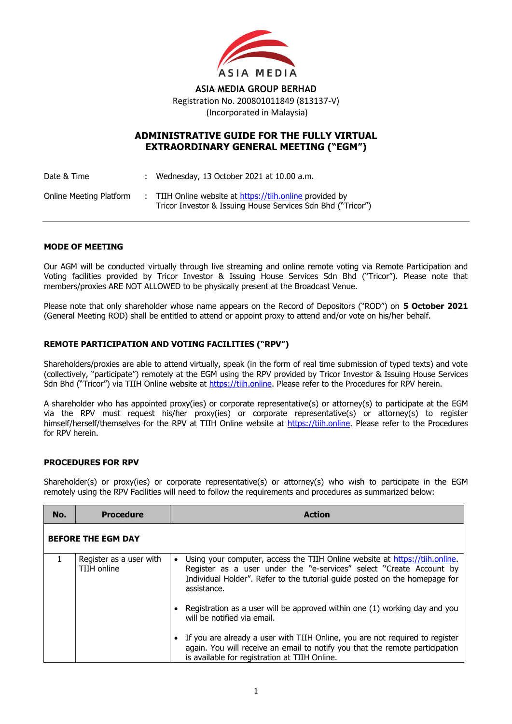

**ASIA MEDIA GROUP BERHAD** Registration No. 200801011849 (813137-V) (Incorporated in Malaysia)

# **ADMINISTRATIVE GUIDE FOR THE FULLY VIRTUAL EXTRAORDINARY GENERAL MEETING ("EGM")**

Date & Time : Wednesday, 13 October 2021 at 10.00 a.m. Online Meeting Platform : TIIH Online website at [https://tiih.online](https://tiih.online/) provided by Tricor Investor & Issuing House Services Sdn Bhd ("Tricor")

#### **MODE OF MEETING**

Our AGM will be conducted virtually through live streaming and online remote voting via Remote Participation and Voting facilities provided by Tricor Investor & Issuing House Services Sdn Bhd ("Tricor"). Please note that members/proxies ARE NOT ALLOWED to be physically present at the Broadcast Venue.

Please note that only shareholder whose name appears on the Record of Depositors ("ROD") on **5 October 2021** (General Meeting ROD) shall be entitled to attend or appoint proxy to attend and/or vote on his/her behalf.

### **REMOTE PARTICIPATION AND VOTING FACILITIES ("RPV")**

Shareholders/proxies are able to attend virtually, speak (in the form of real time submission of typed texts) and vote (collectively, "participate") remotely at the EGM using the RPV provided by Tricor Investor & Issuing House Services Sdn Bhd ("Tricor") via TIIH Online website at [https://tiih.online.](https://tiih.online/) Please refer to the Procedures for RPV herein.

A shareholder who has appointed proxy(ies) or corporate representative(s) or attorney(s) to participate at the EGM via the RPV must request his/her proxy(ies) or corporate representative(s) or attorney(s) to register himself/herself/themselves for the RPV at TIIH Online website at [https://tiih.online.](https://tiih.online/) Please refer to the Procedures for RPV herein.

### **PROCEDURES FOR RPV**

Shareholder(s) or proxy(ies) or corporate representative(s) or attorney(s) who wish to participate in the EGM remotely using the RPV Facilities will need to follow the requirements and procedures as summarized below:

| No.                       | <b>Procedure</b>                       | Action                                                                                                                                                                                                                                                       |  |  |  |
|---------------------------|----------------------------------------|--------------------------------------------------------------------------------------------------------------------------------------------------------------------------------------------------------------------------------------------------------------|--|--|--|
| <b>BEFORE THE EGM DAY</b> |                                        |                                                                                                                                                                                                                                                              |  |  |  |
|                           | Register as a user with<br>TIIH online | Using your computer, access the TIIH Online website at https://tiih.online.<br>$\bullet$<br>Register as a user under the "e-services" select "Create Account by<br>Individual Holder". Refer to the tutorial quide posted on the homepage for<br>assistance. |  |  |  |
|                           |                                        | Registration as a user will be approved within one (1) working day and you<br>will be notified via email.                                                                                                                                                    |  |  |  |
|                           |                                        | If you are already a user with TIIH Online, you are not required to register<br>$\bullet$<br>again. You will receive an email to notify you that the remote participation<br>is available for registration at TIIH Online.                                   |  |  |  |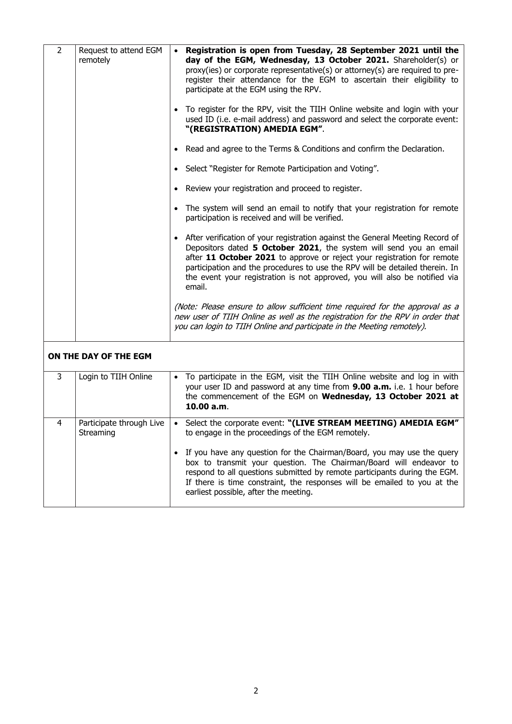| $\overline{2}$ | Request to attend EGM<br>remotely     | Registration is open from Tuesday, 28 September 2021 until the<br>day of the EGM, Wednesday, 13 October 2021. Shareholder(s) or<br>proxy(ies) or corporate representative(s) or attorney(s) are required to pre-<br>register their attendance for the EGM to ascertain their eligibility to<br>participate at the EGM using the RPV.<br>To register for the RPV, visit the TIIH Online website and login with your<br>used ID (i.e. e-mail address) and password and select the corporate event:<br>"(REGISTRATION) AMEDIA EGM".<br>• Read and agree to the Terms & Conditions and confirm the Declaration.<br>• Select "Register for Remote Participation and Voting".<br>• Review your registration and proceed to register.<br>• The system will send an email to notify that your registration for remote<br>participation is received and will be verified.<br>• After verification of your registration against the General Meeting Record of<br>Depositors dated 5 October 2021, the system will send you an email<br>after 11 October 2021 to approve or reject your registration for remote<br>participation and the procedures to use the RPV will be detailed therein. In<br>the event your registration is not approved, you will also be notified via |
|----------------|---------------------------------------|--------------------------------------------------------------------------------------------------------------------------------------------------------------------------------------------------------------------------------------------------------------------------------------------------------------------------------------------------------------------------------------------------------------------------------------------------------------------------------------------------------------------------------------------------------------------------------------------------------------------------------------------------------------------------------------------------------------------------------------------------------------------------------------------------------------------------------------------------------------------------------------------------------------------------------------------------------------------------------------------------------------------------------------------------------------------------------------------------------------------------------------------------------------------------------------------------------------------------------------------------------------------|
|                |                                       | email.<br>(Note: Please ensure to allow sufficient time required for the approval as a<br>new user of TIIH Online as well as the registration for the RPV in order that<br>you can login to TIIH Online and participate in the Meeting remotely).                                                                                                                                                                                                                                                                                                                                                                                                                                                                                                                                                                                                                                                                                                                                                                                                                                                                                                                                                                                                                  |
|                | ON THE DAY OF THE EGM                 |                                                                                                                                                                                                                                                                                                                                                                                                                                                                                                                                                                                                                                                                                                                                                                                                                                                                                                                                                                                                                                                                                                                                                                                                                                                                    |
| 3              | Login to TIIH Online                  | To participate in the EGM, visit the TIIH Online website and log in with<br>your user ID and password at any time from 9.00 a.m. i.e. 1 hour before<br>the commencement of the EGM on Wednesday, 13 October 2021 at<br>10.00 a.m.                                                                                                                                                                                                                                                                                                                                                                                                                                                                                                                                                                                                                                                                                                                                                                                                                                                                                                                                                                                                                                  |
| 4              | Participate through Live<br>Streaming | • Select the corporate event: "(LIVE STREAM MEETING) AMEDIA EGM"<br>to engage in the proceedings of the EGM remotely.<br>• If you have any question for the Chairman/Board, you may use the query<br>box to transmit your question. The Chairman/Board will endeavor to<br>respond to all questions submitted by remote participants during the EGM.<br>If there is time constraint, the responses will be emailed to you at the<br>earliest possible, after the meeting.                                                                                                                                                                                                                                                                                                                                                                                                                                                                                                                                                                                                                                                                                                                                                                                          |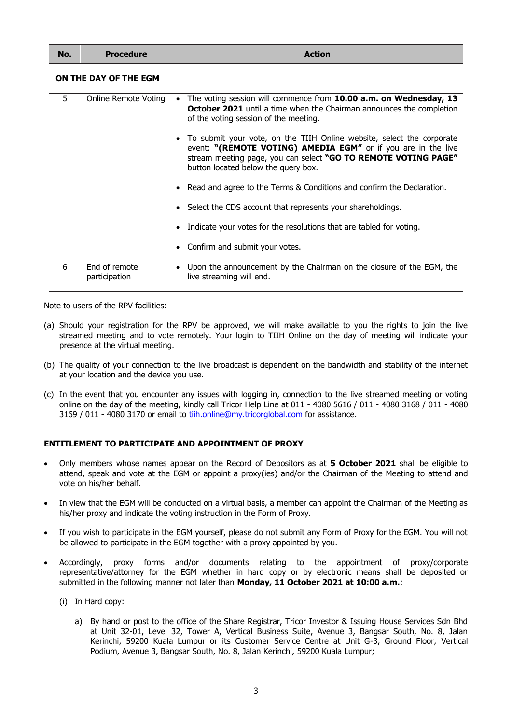| No. | <b>Procedure</b>               | <b>Action</b>                                                                                                                                                                                                                                                                   |
|-----|--------------------------------|---------------------------------------------------------------------------------------------------------------------------------------------------------------------------------------------------------------------------------------------------------------------------------|
|     | ON THE DAY OF THE EGM          |                                                                                                                                                                                                                                                                                 |
| 5.  | Online Remote Voting           | The voting session will commence from 10.00 a.m. on Wednesday, 13<br>$\bullet$<br><b>October 2021</b> until a time when the Chairman announces the completion<br>of the voting session of the meeting.<br>To submit your vote, on the TIIH Online website, select the corporate |
|     |                                | event: "(REMOTE VOTING) AMEDIA EGM" or if you are in the live<br>stream meeting page, you can select "GO TO REMOTE VOTING PAGE"<br>button located below the query box.                                                                                                          |
|     |                                | Read and agree to the Terms & Conditions and confirm the Declaration.                                                                                                                                                                                                           |
|     |                                | • Select the CDS account that represents your shareholdings.                                                                                                                                                                                                                    |
|     |                                | Indicate your votes for the resolutions that are tabled for voting.                                                                                                                                                                                                             |
|     |                                | Confirm and submit your votes.                                                                                                                                                                                                                                                  |
| 6   | End of remote<br>participation | Upon the announcement by the Chairman on the closure of the EGM, the<br>$\bullet$<br>live streaming will end.                                                                                                                                                                   |

Note to users of the RPV facilities:

- (a) Should your registration for the RPV be approved, we will make available to you the rights to join the live streamed meeting and to vote remotely. Your login to TIIH Online on the day of meeting will indicate your presence at the virtual meeting.
- (b) The quality of your connection to the live broadcast is dependent on the bandwidth and stability of the internet at your location and the device you use.
- (c) In the event that you encounter any issues with logging in, connection to the live streamed meeting or voting online on the day of the meeting, kindly call Tricor Help Line at 011 - 4080 5616 / 011 - 4080 3168 / 011 - 4080 3169 / 011 - 4080 3170 or email to tilh.online@my.tricorglobal.com for assistance.

### **ENTITLEMENT TO PARTICIPATE AND APPOINTMENT OF PROXY**

- Only members whose names appear on the Record of Depositors as at **5 October 2021** shall be eligible to attend, speak and vote at the EGM or appoint a proxy(ies) and/or the Chairman of the Meeting to attend and vote on his/her behalf.
- In view that the EGM will be conducted on a virtual basis, a member can appoint the Chairman of the Meeting as his/her proxy and indicate the voting instruction in the Form of Proxy.
- If you wish to participate in the EGM yourself, please do not submit any Form of Proxy for the EGM. You will not be allowed to participate in the EGM together with a proxy appointed by you.
- Accordingly, proxy forms and/or documents relating to the appointment of proxy/corporate representative/attorney for the EGM whether in hard copy or by electronic means shall be deposited or submitted in the following manner not later than **Monday, 11 October 2021 at 10:00 a.m.**:
	- (i) In Hard copy:
		- a) By hand or post to the office of the Share Registrar, Tricor Investor & Issuing House Services Sdn Bhd at Unit 32-01, Level 32, Tower A, Vertical Business Suite, Avenue 3, Bangsar South, No. 8, Jalan Kerinchi, 59200 Kuala Lumpur or its Customer Service Centre at Unit G-3, Ground Floor, Vertical Podium, Avenue 3, Bangsar South, No. 8, Jalan Kerinchi, 59200 Kuala Lumpur;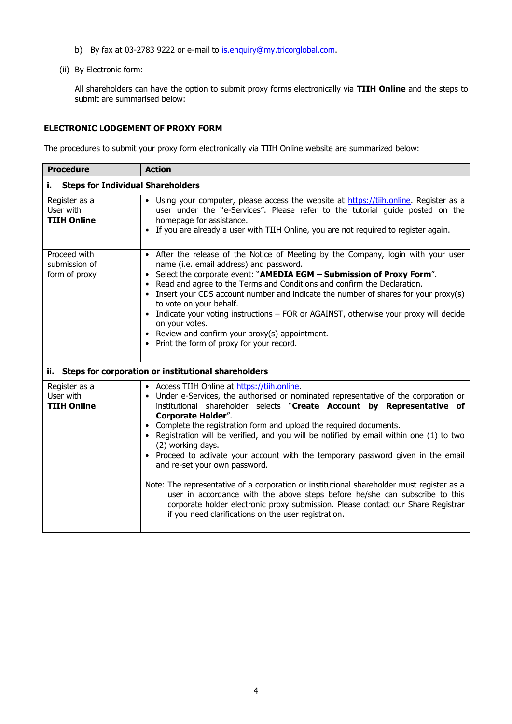- b) By fax at 03-2783 9222 or e-mail to [is.enquiry@my.tricorglobal.com.](file:///D:/Chris%20BIZ1/0159%20AMEDIA%20GROUP/01%20Amedia%20GROUP%20Bhd/EGM%2020211013%20(PP)/is.enquiry@my.tricorglobal.com)
- (ii) By Electronic form:

All shareholders can have the option to submit proxy forms electronically via **TIIH Online** and the steps to submit are summarised below:

### **ELECTRONIC LODGEMENT OF PROXY FORM**

The procedures to submit your proxy form electronically via TIIH Online website are summarized below:

| <b>Procedure</b>                                        | <b>Action</b>                                                                                                                                                                                                                                                                                                                                                                                                                                                                                                                                                                                                                                                                                                                                                                                                                                                                   |  |  |  |
|---------------------------------------------------------|---------------------------------------------------------------------------------------------------------------------------------------------------------------------------------------------------------------------------------------------------------------------------------------------------------------------------------------------------------------------------------------------------------------------------------------------------------------------------------------------------------------------------------------------------------------------------------------------------------------------------------------------------------------------------------------------------------------------------------------------------------------------------------------------------------------------------------------------------------------------------------|--|--|--|
| <b>Steps for Individual Shareholders</b><br>i.          |                                                                                                                                                                                                                                                                                                                                                                                                                                                                                                                                                                                                                                                                                                                                                                                                                                                                                 |  |  |  |
| Register as a<br>User with<br><b>TIIH Online</b>        | • Using your computer, please access the website at https://tiih.online. Register as a<br>user under the "e-Services". Please refer to the tutorial guide posted on the<br>homepage for assistance.<br>• If you are already a user with TIIH Online, you are not required to register again.                                                                                                                                                                                                                                                                                                                                                                                                                                                                                                                                                                                    |  |  |  |
| Proceed with<br>submission of<br>form of proxy          | • After the release of the Notice of Meeting by the Company, login with your user<br>name (i.e. email address) and password.<br>• Select the corporate event: "AMEDIA EGM - Submission of Proxy Form".<br>• Read and agree to the Terms and Conditions and confirm the Declaration.<br>• Insert your CDS account number and indicate the number of shares for your proxy(s)<br>to vote on your behalf.<br>• Indicate your voting instructions - FOR or AGAINST, otherwise your proxy will decide<br>on your votes.<br>• Review and confirm your proxy(s) appointment.<br>• Print the form of proxy for your record.                                                                                                                                                                                                                                                             |  |  |  |
| ii. Steps for corporation or institutional shareholders |                                                                                                                                                                                                                                                                                                                                                                                                                                                                                                                                                                                                                                                                                                                                                                                                                                                                                 |  |  |  |
| Register as a<br>User with<br><b>TIIH Online</b>        | • Access TIIH Online at https://tiih.online.<br>• Under e-Services, the authorised or nominated representative of the corporation or<br>institutional shareholder selects "Create Account by Representative of<br><b>Corporate Holder".</b><br>• Complete the registration form and upload the required documents.<br>Registration will be verified, and you will be notified by email within one (1) to two<br>(2) working days.<br>• Proceed to activate your account with the temporary password given in the email<br>and re-set your own password.<br>Note: The representative of a corporation or institutional shareholder must register as a<br>user in accordance with the above steps before he/she can subscribe to this<br>corporate holder electronic proxy submission. Please contact our Share Registrar<br>if you need clarifications on the user registration. |  |  |  |